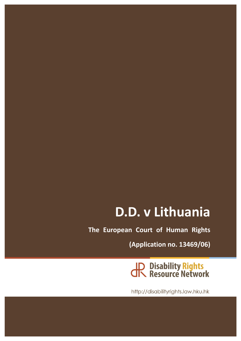# D.D. v Lithuania

**The European Court of Human Rights** 

**(Application no. 13469/06)**

JP Disability Rights<br>JR Resource Network

http://disabilityrights.law.hku.hk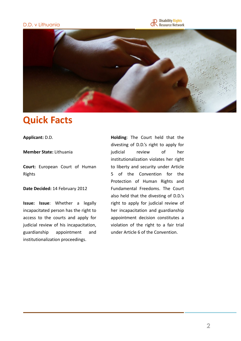#### D.D. v Lithuania





### **Quick Facts**

Applicant: D.D.

#### **Member State:** Lithuania

**Court:** European Court of Human Rights

#### **Date Decided: 14 February 2012**

**Issue:** Issue: Whether a legally incapacitated person has the right to access to the courts and apply for judicial review of his incapacitation, guardianship appointment and institutionalization proceedings.

**Holding**: The Court held that the divesting of D.D.'s right to apply for judicial review of her institutionalization violates her right to liberty and security under Article 5 of the Convention for the Protection of Human Rights and Fundamental Freedoms. The Court also held that the divesting of D.D.'s right to apply for judicial review of her incapacitation and guardianship appointment decision constitutes a violation of the right to a fair trial under Article 6 of the Convention.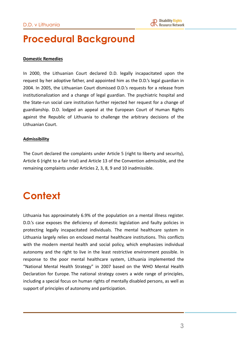### **Procedural Background**

#### **Domestic Remedies**

In 2000, the Lithuanian Court declared D.D. legally incapacitated upon the request by her adoptive father, and appointed him as the D.D.'s legal guardian in 2004. In 2005, the Lithuanian Court dismissed D.D.'s requests for a release from institutionalization and a change of legal guardian. The psychiatric hospital and the State-run social care institution further rejected her request for a change of guardianship. D.D. lodged an appeal at the European Court of Human Rights against the Republic of Lithuania to challenge the arbitrary decisions of the Lithuanian Court. 

#### **Admissibility**

The Court declared the complaints under Article 5 (right to liberty and security), Article 6 (right to a fair trial) and Article 13 of the Convention admissible, and the remaining complaints under Articles 2, 3, 8, 9 and 10 inadmissible.

## **Context**

Lithuania has approximately 6.9% of the population on a mental illness register. D.D.'s case exposes the deficiency of domestic legislation and faulty policies in protecting legally incapacitated individuals. The mental healthcare system in Lithuania largely relies on enclosed mental healthcare institutions. This conflicts with the modern mental health and social policy, which emphasizes individual autonomy and the right to live in the least restrictive environment possible. In response to the poor mental healthcare system, Lithuania implemented the "National Mental Health Strategy" in 2007 based on the WHO Mental Health Declaration for Europe. The national strategy covers a wide range of principles, including a special focus on human rights of mentally disabled persons, as well as support of principles of autonomy and participation.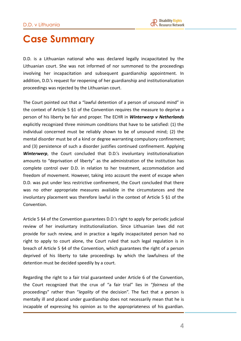### **Case Summary**

D.D. is a Lithuanian national who was declared legally incapacitated by the Lithuanian court. She was not informed of nor summoned to the proceedings involving her incapacitation and subsequent guardianship appointment. In addition, D.D.'s request for reopening of her guardianship and institutionalization proceedings was rejected by the Lithuanian court.

The Court pointed out that a "lawful detention of a person of unsound mind" in the context of Article  $5 \,$ §1 of the Convention requires the measure to deprive a person of his liberty be fair and proper. The ECHR in *Winterwerp v Netherlands* explicitly recognized three minimum conditions that have to be satisfied: (1) the individual concerned must be reliably shown to be of unsound mind; (2) the mental disorder must be of a kind or degree warranting compulsory confinement; and (3) persistence of such a disorder justifies continued confinement. Applying **Winterwerp**, the Court concluded that D.D.'s involuntary institutionalization amounts to "deprivation of liberty" as the administration of the institution has complete control over D.D. in relation to her treatment, accommodation and freedom of movement. However, taking into account the event of escape when D.D. was put under less restrictive confinement, the Court concluded that there was no other appropriate measures available in the circumstances and the involuntary placement was therefore lawful in the context of Article  $5 \,$ §1 of the Convention. 

Article 5 §4 of the Convention guarantees D.D.'s right to apply for periodic judicial review of her involuntary institutionalization. Since Lithuanian laws did not provide for such review, and in practice a legally incapacitated person had no right to apply to court alone, the Court ruled that such legal regulation is in breach of Article 5 §4 of the Convention, which guarantees the right of a person deprived of his liberty to take proceedings by which the lawfulness of the detention must be decided speedily by a court.

Regarding the right to a fair trial guaranteed under Article 6 of the Convention, the Court recognized that the crux of "a fair trial" lies in "*fairness* of the proceedings" rather than "*legality* of the decision". The fact that a person is mentally ill and placed under guardianship does not necessarily mean that he is incapable of expressing his opinion as to the appropriateness of his guardian.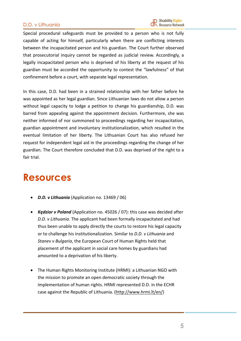#### D.D. v Lithuania

Special procedural safeguards must be provided to a person who is not fully capable of acting for himself, particularly when there are conflicting interests between the incapacitated person and his guardian. The Court further observed that prosecutorial inquiry cannot be regarded as judicial review. Accordingly, a legally incapacitated person who is deprived of his liberty at the request of his guardian must be accorded the opportunity to contest the "lawfulness" of that confinement before a court, with separate legal representation.

In this case, D.D. had been in a strained relationship with her father before he was appointed as her legal guardian. Since Lithuanian laws do not allow a person without legal capacity to lodge a petition to change his guardianship, D.D. was barred from appealing against the appointment decision. Furthermore, she was neither informed of nor summoned to proceedings regarding her incapacitation, guardian appointment and involuntary institutionalization, which resulted in the eventual limitation of her liberty. The Lithuanian Court has also refused her request for independent legal aid in the proceedings regarding the change of her guardian. The Court therefore concluded that D.D. was deprived of the right to a fair trial.

### **Resources**

- *D.D. v Lithuania* (Application no. 13469 / 06)
- *Kędzior v Poland* (Application no. 45026 / 07): this case was decided after D.D. v Lithuania. The applicant had been formally incapacitated and had thus been unable to apply directly the courts to restore his legal capacity or to challenge his institutionalization. Similar to *D.D. v Lithuania* and Stanev v Bulgaria, the European Court of Human Rights held that placement of the applicant in social care homes by guardians had amounted to a deprivation of his liberty.
- The Human Rights Monitoring Institute (HRMI): a Lithuanian NGO with the mission to promote an open democratic society through the implementation of human rights. HRMI represented D.D. in the ECHR case against the Republic of Lithuania. (http://www.hrmi.lt/en/)